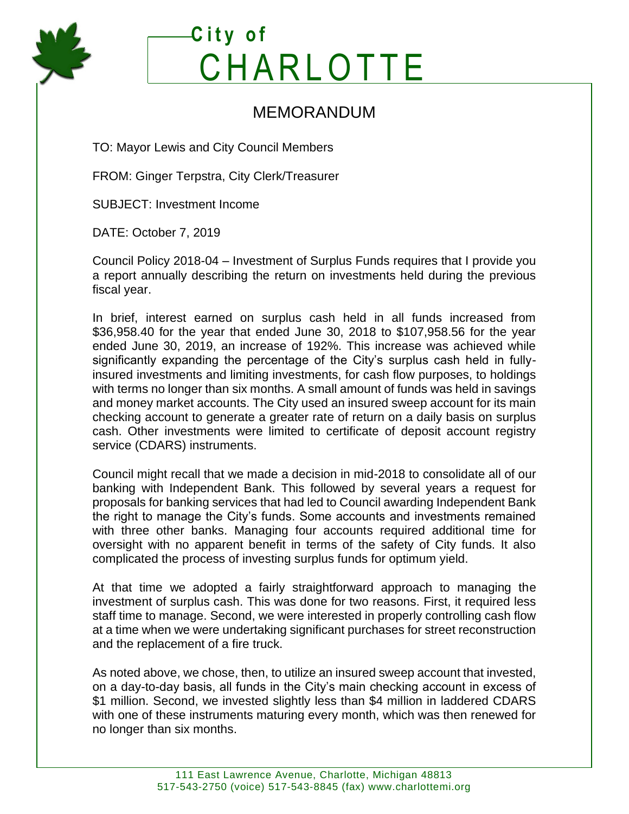

## **C i t y o f CHARLOTTE**

## MEMORANDUM

TO: Mayor Lewis and City Council Members

FROM: Ginger Terpstra, City Clerk/Treasurer

SUBJECT: Investment Income

DATE: October 7, 2019

Council Policy 2018-04 – Investment of Surplus Funds requires that I provide you a report annually describing the return on investments held during the previous fiscal year.

In brief, interest earned on surplus cash held in all funds increased from \$36,958.40 for the year that ended June 30, 2018 to \$107,958.56 for the year ended June 30, 2019, an increase of 192%. This increase was achieved while significantly expanding the percentage of the City's surplus cash held in fullyinsured investments and limiting investments, for cash flow purposes, to holdings with terms no longer than six months. A small amount of funds was held in savings and money market accounts. The City used an insured sweep account for its main checking account to generate a greater rate of return on a daily basis on surplus cash. Other investments were limited to certificate of deposit account registry service (CDARS) instruments.

Council might recall that we made a decision in mid-2018 to consolidate all of our banking with Independent Bank. This followed by several years a request for proposals for banking services that had led to Council awarding Independent Bank the right to manage the City's funds. Some accounts and investments remained with three other banks. Managing four accounts required additional time for oversight with no apparent benefit in terms of the safety of City funds. It also complicated the process of investing surplus funds for optimum yield.

At that time we adopted a fairly straightforward approach to managing the investment of surplus cash. This was done for two reasons. First, it required less staff time to manage. Second, we were interested in properly controlling cash flow at a time when we were undertaking significant purchases for street reconstruction and the replacement of a fire truck.

As noted above, we chose, then, to utilize an insured sweep account that invested, on a day-to-day basis, all funds in the City's main checking account in excess of \$1 million. Second, we invested slightly less than \$4 million in laddered CDARS with one of these instruments maturing every month, which was then renewed for no longer than six months.